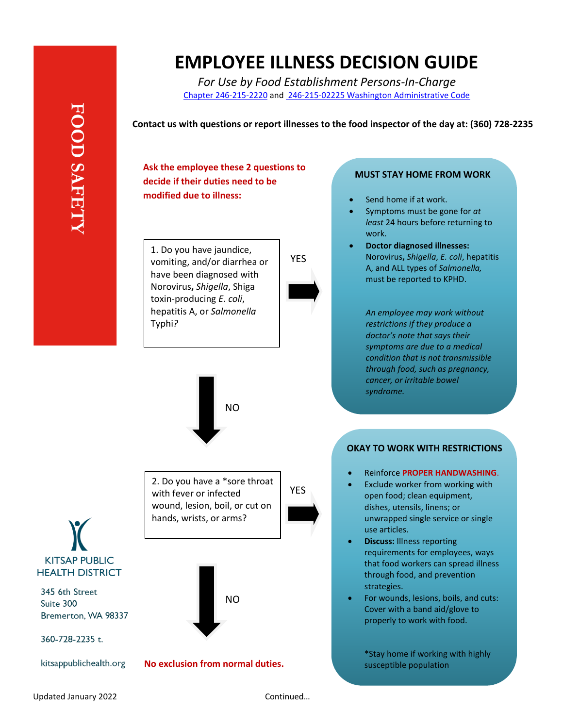# **EMPLOYEE ILLNESS DECISION GUIDE**

*For Use by Food Establishment Persons-In-Charge* [Chapter 246-215-2220](https://app.leg.wa.gov/wac/default.aspx?cite=246-215-02220) and 246-215-02225 [Washington Administrative Code](https://app.leg.wa.gov/WAC/default.aspx?cite=246-215-02225)

**Contact us with questions or report illnesses to the food inspector of the day at: (360) 728-2235**

**Ask the employee these 2 questions to decide if their duties need to be modified due to illness:**

1. Do you have jaundice, vomiting, and/or diarrhea or have been diagnosed with Norovirus**,** *Shigella*, Shiga toxin-producing *E. coli*, hepatitis A, or *Salmonella* Typhi*?*



#### **MUST STAY HOME FROM WORK**

- Send home if at work.
- Symptoms must be gone for *at least* 24 hours before returning to work.
	- **Doctor diagnosed illnesses:**  Norovirus**,** *Shigella*, *E. coli*, hepatitis A, and ALL types of *Salmonella,* must be reported to KPHD.

*An employee may work without restrictions if they produce a doctor's note that says their symptoms are due to a medical condition that is not transmissible through food, such as pregnancy, cancer, or irritable bowel syndrome.*

# **OKAY TO WORK WITH RESTRICTIONS**

- Reinforce **PROPER HANDWASHING**.
- Exclude worker from working with open food; clean equipment, dishes, utensils, linens; or unwrapped single service or single use articles.
- **Discuss:** Illness reporting requirements for employees, ways that food workers can spread illness through food, and prevention strategies.
- For wounds, lesions, boils, and cuts: Cover with a band aid/glove to properly to work with food.

\*Stay home if working with highly susceptible population

**KITSAP PUBLIC HEALTH DISTRICT** 

**FOOD SAFET** 

345 6th Street Suite 300 Bremerton, WA 98337

360-728-2235 t.

kitsappublichealth.org

2. Do you have a \*sore throat with fever or infected wound, lesion, boil, or cut on hands, wrists, or arms? NO

NO

## **No exclusion from normal duties.**

YES